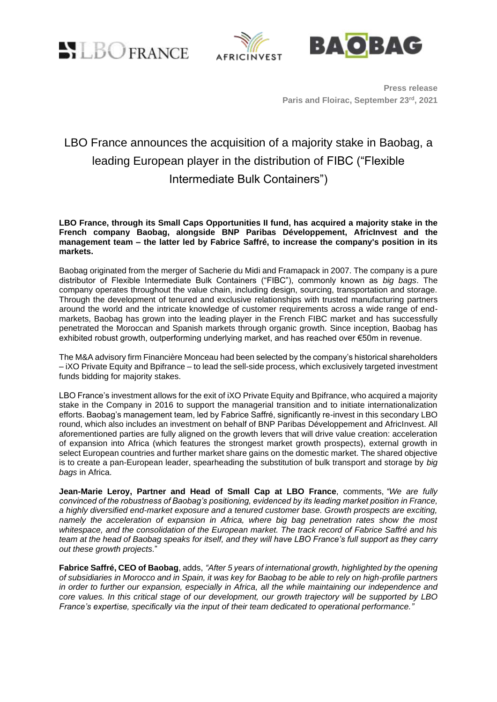LBOFRANCE





**Press release Paris and Floirac, September 23 rd , 2021**

# LBO France announces the acquisition of a majority stake in Baobag, a leading European player in the distribution of FIBC ("Flexible Intermediate Bulk Containers")

**LBO France, through its Small Caps Opportunities II fund, has acquired a majority stake in the French company Baobag, alongside BNP Paribas Développement, AfricInvest and the management team – the latter led by Fabrice Saffré, to increase the company's position in its markets.**

Baobag originated from the merger of Sacherie du Midi and Framapack in 2007. The company is a pure distributor of Flexible Intermediate Bulk Containers ("FIBC"), commonly known as *big bags*. The company operates throughout the value chain, including design, sourcing, transportation and storage. Through the development of tenured and exclusive relationships with trusted manufacturing partners around the world and the intricate knowledge of customer requirements across a wide range of endmarkets, Baobag has grown into the leading player in the French FIBC market and has successfully penetrated the Moroccan and Spanish markets through organic growth. Since inception, Baobag has exhibited robust growth, outperforming underlying market, and has reached over €50m in revenue.

The M&A advisory firm Financière Monceau had been selected by the company's historical shareholders – iXO Private Equity and Bpifrance – to lead the sell-side process, which exclusively targeted investment funds bidding for majority stakes.

LBO France's investment allows for the exit of iXO Private Equity and Bpifrance, who acquired a majority stake in the Company in 2016 to support the managerial transition and to initiate internationalization efforts. Baobag's management team, led by Fabrice Saffré, significantly re-invest in this secondary LBO round, which also includes an investment on behalf of BNP Paribas Développement and AfricInvest. All aforementioned parties are fully aligned on the growth levers that will drive value creation: acceleration of expansion into Africa (which features the strongest market growth prospects), external growth in select European countries and further market share gains on the domestic market. The shared objective is to create a pan-European leader, spearheading the substitution of bulk transport and storage by *big bags* in Africa.

**Jean-Marie Leroy, Partner and Head of Small Cap at LBO France**, comments, *"We are fully convinced of the robustness of Baobag's positioning, evidenced by its leading market position in France, a highly diversified end-market exposure and a tenured customer base. Growth prospects are exciting, namely the acceleration of expansion in Africa, where big bag penetration rates show the most whitespace, and the consolidation of the European market. The track record of Fabrice Saffré and his team at the head of Baobag speaks for itself, and they will have LBO France's full support as they carry out these growth projects.*"

**Fabrice Saffré, CEO of Baobag**, adds, *"After 5 years of international growth, highlighted by the opening of subsidiaries in Morocco and in Spain, it was key for Baobag to be able to rely on high-profile partners in order to further our expansion, especially in Africa, all the while maintaining our independence and core values. In this critical stage of our development, our growth trajectory will be supported by LBO France's expertise, specifically via the input of their team dedicated to operational performance."*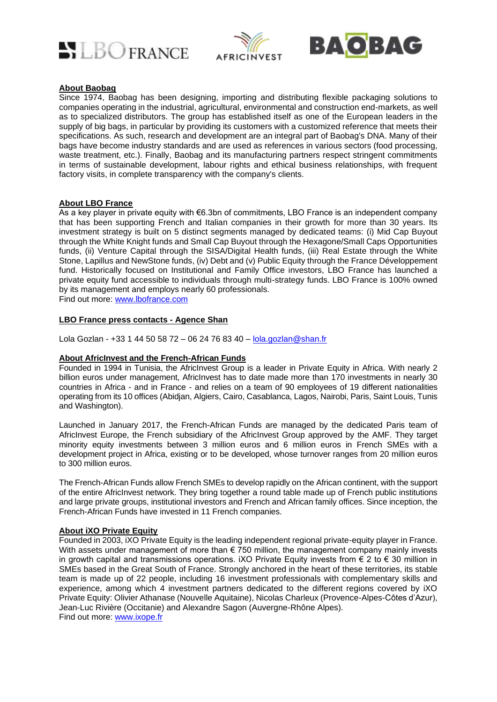





### **About Baobag**

Since 1974, Baobag has been designing, importing and distributing flexible packaging solutions to companies operating in the industrial, agricultural, environmental and construction end-markets, as well as to specialized distributors. The group has established itself as one of the European leaders in the supply of big bags, in particular by providing its customers with a customized reference that meets their specifications. As such, research and development are an integral part of Baobag's DNA. Many of their bags have become industry standards and are used as references in various sectors (food processing, waste treatment, etc.). Finally, Baobag and its manufacturing partners respect stringent commitments in terms of sustainable development, labour rights and ethical business relationships, with frequent factory visits, in complete transparency with the company's clients.

#### **About LBO France**

As a key player in private equity with €6.3bn of commitments, LBO France is an independent company that has been supporting French and Italian companies in their growth for more than 30 years. Its investment strategy is built on 5 distinct segments managed by dedicated teams: (i) Mid Cap Buyout through the White Knight funds and Small Cap Buyout through the Hexagone/Small Caps Opportunities funds, (ii) Venture Capital through the SISA/Digital Health funds, (iii) Real Estate through the White Stone, Lapillus and NewStone funds, (iv) Debt and (v) Public Equity through the France Développement fund. Historically focused on Institutional and Family Office investors, LBO France has launched a private equity fund accessible to individuals through multi-strategy funds. LBO France is 100% owned by its management and employs nearly 60 professionals.

Find out more: [www.lbofrance.com](http://www.lbofrance.com/)

#### **LBO France press contacts - Agence Shan**

[Lola](mailto:Lola) Gozlan - +33 1 44 50 58 72 – 06 24 76 83 40 – [lola.gozlan@shan.fr](mailto:lola.gozlan@shan.fr)

#### **About AfricInvest and the French-African Funds**

Founded in 1994 in Tunisia, the AfricInvest Group is a leader in Private Equity in Africa. With nearly 2 billion euros under management, AfricInvest has to date made more than 170 investments in nearly 30 countries in Africa - and in France - and relies on a team of 90 employees of 19 different nationalities operating from its 10 offices (Abidjan, Algiers, Cairo, Casablanca, Lagos, Nairobi, Paris, Saint Louis, Tunis and Washington).

Launched in January 2017, the French-African Funds are managed by the dedicated Paris team of AfricInvest Europe, the French subsidiary of the AfricInvest Group approved by the AMF. They target minority equity investments between 3 million euros and 6 million euros in French SMEs with a development project in Africa, existing or to be developed, whose turnover ranges from 20 million euros to 300 million euros.

The French-African Funds allow French SMEs to develop rapidly on the African continent, with the support of the entire AfricInvest network. They bring together a round table made up of French public institutions and large private groups, institutional investors and French and African family offices. Since inception, the French-African Funds have invested in 11 French companies.

#### **About iXO Private Equity**

Founded in 2003, iXO Private Equity is the leading independent regional private-equity player in France. With assets under management of more than  $\epsilon$  750 million, the management company mainly invests in growth capital and transmissions operations. iXO Private Equity invests from  $\epsilon$  2 to  $\epsilon$  30 million in SMEs based in the Great South of France. Strongly anchored in the heart of these territories, its stable team is made up of 22 people, including 16 investment professionals with complementary skills and experience, among which 4 investment partners dedicated to the different regions covered by iXO Private Equity: Olivier Athanase (Nouvelle Aquitaine), Nicolas Charleux (Provence-Alpes-Côtes d'Azur), Jean-Luc Rivière (Occitanie) and Alexandre Sagon (Auvergne-Rhône Alpes). Find out more: [www.ixope.fr](http://www.ixope.fr/)